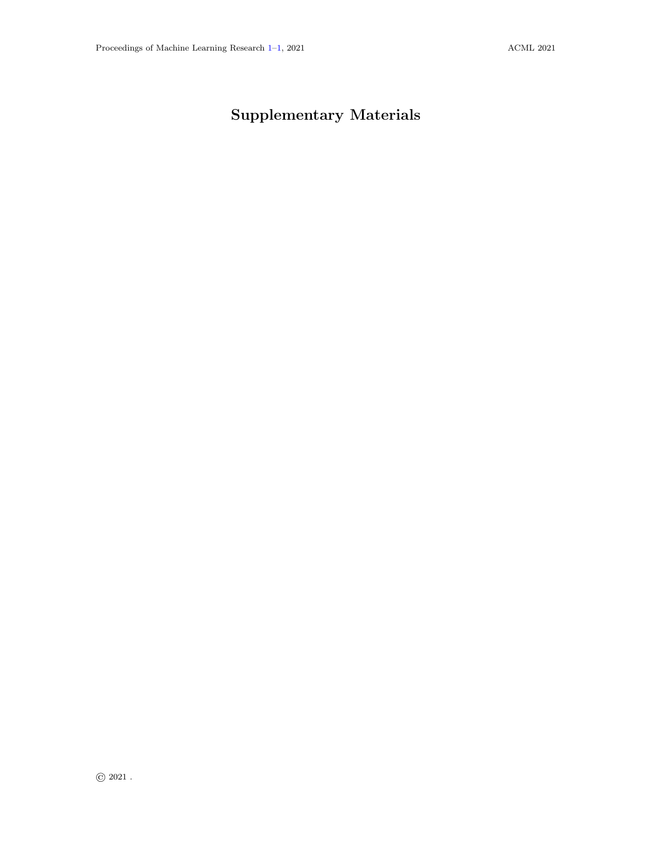## <span id="page-0-1"></span><span id="page-0-0"></span>Supplementary Materials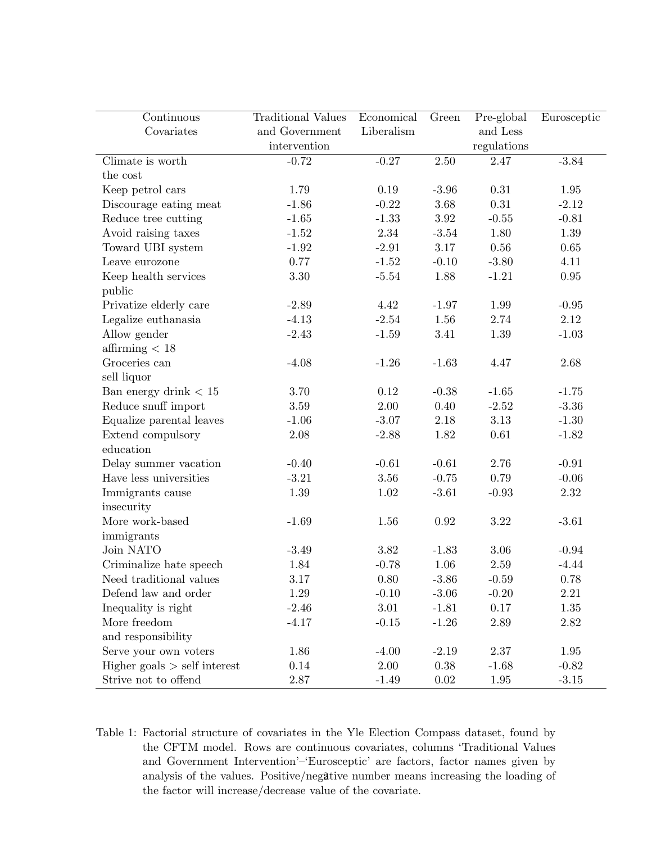| Continuous                   | <b>Traditional Values</b> | Economical | Green    | Pre-global  | Eurosceptic |
|------------------------------|---------------------------|------------|----------|-------------|-------------|
| Covariates                   | and Government            | Liberalism |          | and Less    |             |
|                              | intervention              |            |          | regulations |             |
| Climate is worth             | $-0.72$                   | $-0.27$    | 2.50     | 2.47        | $-3.84$     |
| the cost                     |                           |            |          |             |             |
| Keep petrol cars             | 1.79                      | $0.19\,$   | $-3.96$  | $0.31\,$    | $1.95\,$    |
| Discourage eating meat       | $-1.86$                   | $-0.22$    | 3.68     | $0.31\,$    | $-2.12$     |
| Reduce tree cutting          | $-1.65$                   | $-1.33$    | $3.92\,$ | $-0.55$     | $-0.81$     |
| Avoid raising taxes          | $-1.52$                   | 2.34       | $-3.54$  | 1.80        | 1.39        |
| Toward UBI system            | $-1.92$                   | $-2.91$    | 3.17     | $0.56\,$    | 0.65        |
| Leave eurozone               | 0.77                      | $-1.52$    | $-0.10$  | $-3.80$     | 4.11        |
| Keep health services         | 3.30                      | $-5.54$    | 1.88     | $-1.21$     | $0.95\,$    |
| public                       |                           |            |          |             |             |
| Privatize elderly care       | $-2.89$                   | 4.42       | $-1.97$  | 1.99        | $-0.95$     |
| Legalize euthanasia          | $-4.13$                   | $-2.54$    | 1.56     | 2.74        | $2.12\,$    |
| Allow gender                 | $-2.43$                   | $-1.59$    | 3.41     | $1.39\,$    | $-1.03$     |
| affirming $< 18$             |                           |            |          |             |             |
| Groceries can                | $-4.08$                   | $-1.26$    | $-1.63$  | 4.47        | 2.68        |
| sell liquor                  |                           |            |          |             |             |
| Ban energy drink $< 15$      | 3.70                      | 0.12       | $-0.38$  | $-1.65$     | $-1.75$     |
| Reduce snuff import          | $3.59\,$                  | 2.00       | 0.40     | $-2.52$     | $-3.36$     |
| Equalize parental leaves     | $-1.06$                   | $-3.07$    | $2.18\,$ | 3.13        | $-1.30$     |
| Extend compulsory            | 2.08                      | $-2.88$    | 1.82     | $0.61\,$    | $-1.82$     |
| education                    |                           |            |          |             |             |
| Delay summer vacation        | $-0.40$                   | $-0.61$    | $-0.61$  | 2.76        | $-0.91$     |
| Have less universities       | $-3.21$                   | 3.56       | $-0.75$  | 0.79        | $-0.06$     |
| Immigrants cause             | 1.39                      | 1.02       | $-3.61$  | $-0.93$     | $2.32\,$    |
| insecurity                   |                           |            |          |             |             |
| More work-based              | $-1.69$                   | 1.56       | 0.92     | $3.22\,$    | $-3.61$     |
| immigrants                   |                           |            |          |             |             |
| Join NATO                    | $-3.49$                   | 3.82       | $-1.83$  | 3.06        | $-0.94$     |
| Criminalize hate speech      | 1.84                      | $-0.78$    | 1.06     | 2.59        | $-4.44$     |
| Need traditional values      | 3.17                      | 0.80       | $-3.86$  | $-0.59$     | 0.78        |
| Defend law and order         | 1.29                      | $-0.10$    | $-3.06$  | $-0.20$     | 2.21        |
| Inequality is right          | $-2.46$                   | 3.01       | $-1.81$  | 0.17        | 1.35        |
| More freedom                 | $-4.17$                   | $-0.15$    | $-1.26$  | 2.89        | 2.82        |
| and responsibility           |                           |            |          |             |             |
| Serve your own voters        | 1.86                      | $-4.00$    | $-2.19$  | 2.37        | 1.95        |
| Higher goals > self interest | 0.14                      | 2.00       | 0.38     | $-1.68$     | $-0.82$     |
| Strive not to offend         | $2.87\,$                  | $-1.49$    | 0.02     | 1.95        | $-3.15$     |

Table 1: Factorial structure of covariates in the Yle Election Compass dataset, found by the CFTM model. Rows are continuous covariates, columns 'Traditional Values and Government Intervention'–'Eurosceptic' are factors, factor names given by analysis of the values. Positive/negative number means increasing the loading of the factor will increase/decrease value of the covariate.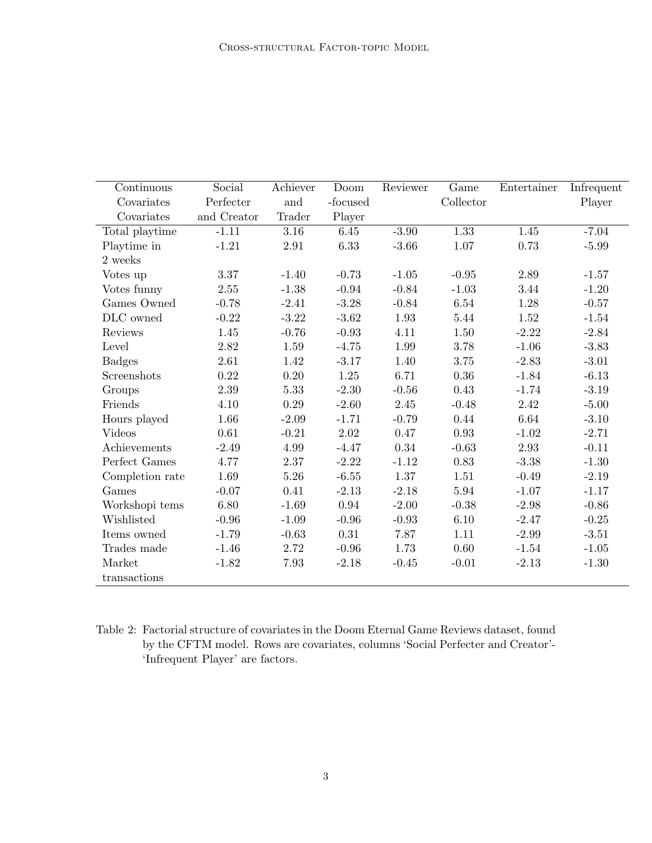| Continuous      | Social      | Achiever | Doom     | Reviewer | Game              | Entertainer | Infrequent |
|-----------------|-------------|----------|----------|----------|-------------------|-------------|------------|
| Covariates      | Perfecter   | and      | -focused |          | ${\bf Collector}$ |             | Player     |
| Covariates      | and Creator | Trader   | Player   |          |                   |             |            |
| Total playtime  | $-1.11$     | 3.16     | 6.45     | $-3.90$  | 1.33              | 1.45        | $-7.04$    |
| Playtime in     | $-1.21$     | 2.91     | $6.33\,$ | $-3.66$  | 1.07              | 0.73        | $-5.99$    |
| 2 weeks         |             |          |          |          |                   |             |            |
| Votes up        | 3.37        | $-1.40$  | $-0.73$  | $-1.05$  | $-0.95$           | 2.89        | $-1.57$    |
| Votes funny     | 2.55        | $-1.38$  | $-0.94$  | $-0.84$  | $-1.03$           | 3.44        | $-1.20$    |
| Games Owned     | $-0.78$     | $-2.41$  | $-3.28$  | $-0.84$  | 6.54              | 1.28        | $-0.57$    |
| DLC owned       | $-0.22$     | $-3.22$  | $-3.62$  | 1.93     | 5.44              | 1.52        | $-1.54$    |
| Reviews         | 1.45        | $-0.76$  | $-0.93$  | 4.11     | 1.50              | $-2.22$     | $-2.84$    |
| Level           | $2.82\,$    | 1.59     | $-4.75$  | 1.99     | 3.78              | $-1.06$     | $-3.83$    |
| <b>Badges</b>   | 2.61        | 1.42     | $-3.17$  | 1.40     | 3.75              | $-2.83$     | $-3.01$    |
| Screenshots     | 0.22        | 0.20     | 1.25     | 6.71     | 0.36              | $-1.84$     | $-6.13$    |
| Groups          | 2.39        | 5.33     | $-2.30$  | $-0.56$  | 0.43              | $-1.74$     | $-3.19$    |
| Friends         | 4.10        | 0.29     | $-2.60$  | 2.45     | $-0.48$           | 2.42        | $-5.00$    |
| Hours played    | 1.66        | $-2.09$  | $-1.71$  | $-0.79$  | 0.44              | 6.64        | $-3.10$    |
| Videos          | $0.61\,$    | $-0.21$  | 2.02     | 0.47     | 0.93              | $-1.02$     | $-2.71$    |
| Achievements    | $-2.49$     | 4.99     | $-4.47$  | 0.34     | $-0.63$           | 2.93        | $-0.11$    |
| Perfect Games   | 4.77        | 2.37     | $-2.22$  | $-1.12$  | 0.83              | $-3.38$     | $-1.30$    |
| Completion rate | 1.69        | 5.26     | $-6.55$  | 1.37     | 1.51              | $-0.49$     | $-2.19$    |
| Games           | $-0.07$     | 0.41     | $-2.13$  | $-2.18$  | 5.94              | $-1.07$     | $-1.17$    |
| Workshopi tems  | 6.80        | $-1.69$  | 0.94     | $-2.00$  | $-0.38$           | $-2.98$     | $-0.86$    |
| Wishlisted      | $-0.96$     | $-1.09$  | $-0.96$  | $-0.93$  | 6.10              | $-2.47$     | $-0.25$    |
| Items owned     | $-1.79$     | $-0.63$  | 0.31     | 7.87     | 1.11              | $-2.99$     | $-3.51$    |
| Trades made     | $-1.46$     | 2.72     | $-0.96$  | 1.73     | 0.60              | $-1.54$     | $-1.05$    |
| Market          | $-1.82$     | 7.93     | $-2.18$  | $-0.45$  | $-0.01$           | $-2.13$     | $-1.30$    |
| transactions    |             |          |          |          |                   |             |            |

Table 2: Factorial structure of covariates in the Doom Eternal Game Reviews dataset, found by the CFTM model. Rows are covariates, columns 'Social Perfecter and Creator'- 'Infrequent Player' are factors.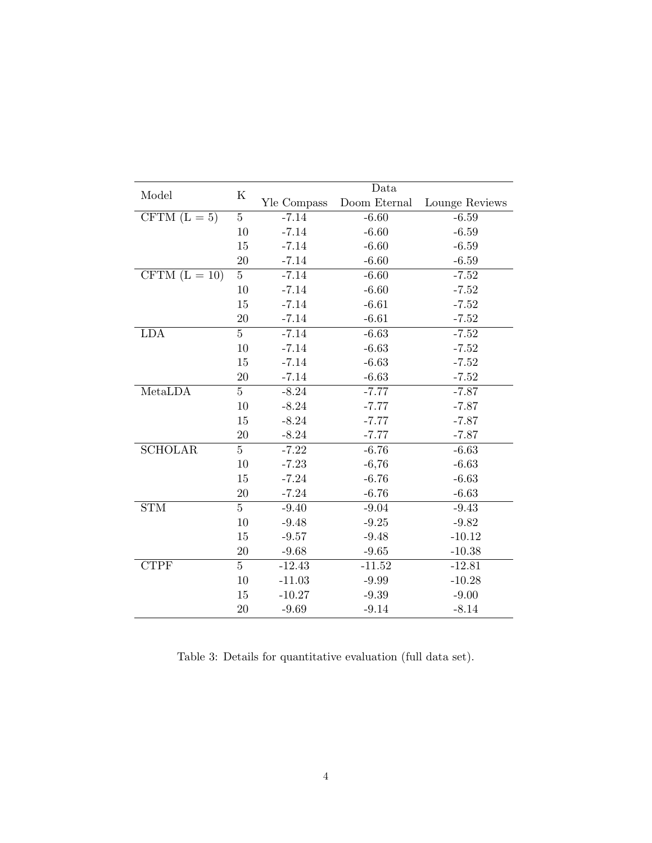| Model                             | $\rm K$        | Data        |              |                |  |
|-----------------------------------|----------------|-------------|--------------|----------------|--|
|                                   |                | Yle Compass | Doom Eternal | Lounge Reviews |  |
| CFTM $(L = 5)$                    | $\bf 5$        | $-7.14$     | $-6.60$      | $-6.59$        |  |
|                                   | 10             | $-7.14$     | $-6.60$      | $-6.59$        |  |
|                                   | 15             | $-7.14$     | $-6.60$      | $-6.59$        |  |
|                                   | 20             | $-7.14$     | $-6.60$      | $-6.59$        |  |
| $\overline{\text{CFTM}}$ (L = 10) | $\overline{5}$ | $-7.14$     | $-6.60$      | $-7.52$        |  |
|                                   | 10             | $-7.14$     | $-6.60$      | $-7.52$        |  |
|                                   | 15             | $-7.14$     | $-6.61$      | $-7.52$        |  |
|                                   | 20             | $-7.14$     | $-6.61$      | $-7.52$        |  |
| <b>LDA</b>                        | $\overline{5}$ | $-7.14$     | $-6.63$      | $-7.52$        |  |
|                                   | 10             | $-7.14$     | $-6.63$      | $-7.52$        |  |
|                                   | 15             | $-7.14$     | $-6.63$      | $-7.52$        |  |
|                                   | 20             | $-7.14$     | $-6.63$      | $-7.52$        |  |
| MetaLDA                           | $\overline{5}$ | $-8.24$     | $-7.77$      | $-7.87$        |  |
|                                   | 10             | $-8.24$     | $-7.77$      | $-7.87$        |  |
|                                   | 15             | $-8.24$     | $-7.77$      | $-7.87$        |  |
|                                   | 20             | $-8.24$     | $-7.77$      | $-7.87$        |  |
| <b>SCHOLAR</b>                    | $\overline{5}$ | $-7.22$     | $-6.76$      | $-6.63$        |  |
|                                   | 10             | $-7.23$     | $-6,76$      | $-6.63$        |  |
|                                   | 15             | $-7.24$     | $-6.76$      | $-6.63$        |  |
|                                   | 20             | $-7.24$     | $-6.76$      | $-6.63$        |  |
| <b>STM</b>                        | $\overline{5}$ | $-9.40$     | $-9.04$      | $-9.43$        |  |
|                                   | 10             | $-9.48$     | $-9.25$      | $-9.82$        |  |
|                                   | 15             | $-9.57$     | $-9.48$      | $-10.12$       |  |
|                                   | 20             | $-9.68$     | $-9.65$      | $-10.38$       |  |
| <b>CTPF</b>                       | $\overline{5}$ | $-12.43$    | $-11.52$     | $-12.81$       |  |
|                                   | 10             | $-11.03$    | $-9.99$      | $-10.28$       |  |
|                                   | 15             | $-10.27$    | $-9.39$      | $-9.00$        |  |
|                                   | 20             | $-9.69$     | $-9.14$      | $-8.14$        |  |

Table 3: Details for quantitative evaluation (full data set).